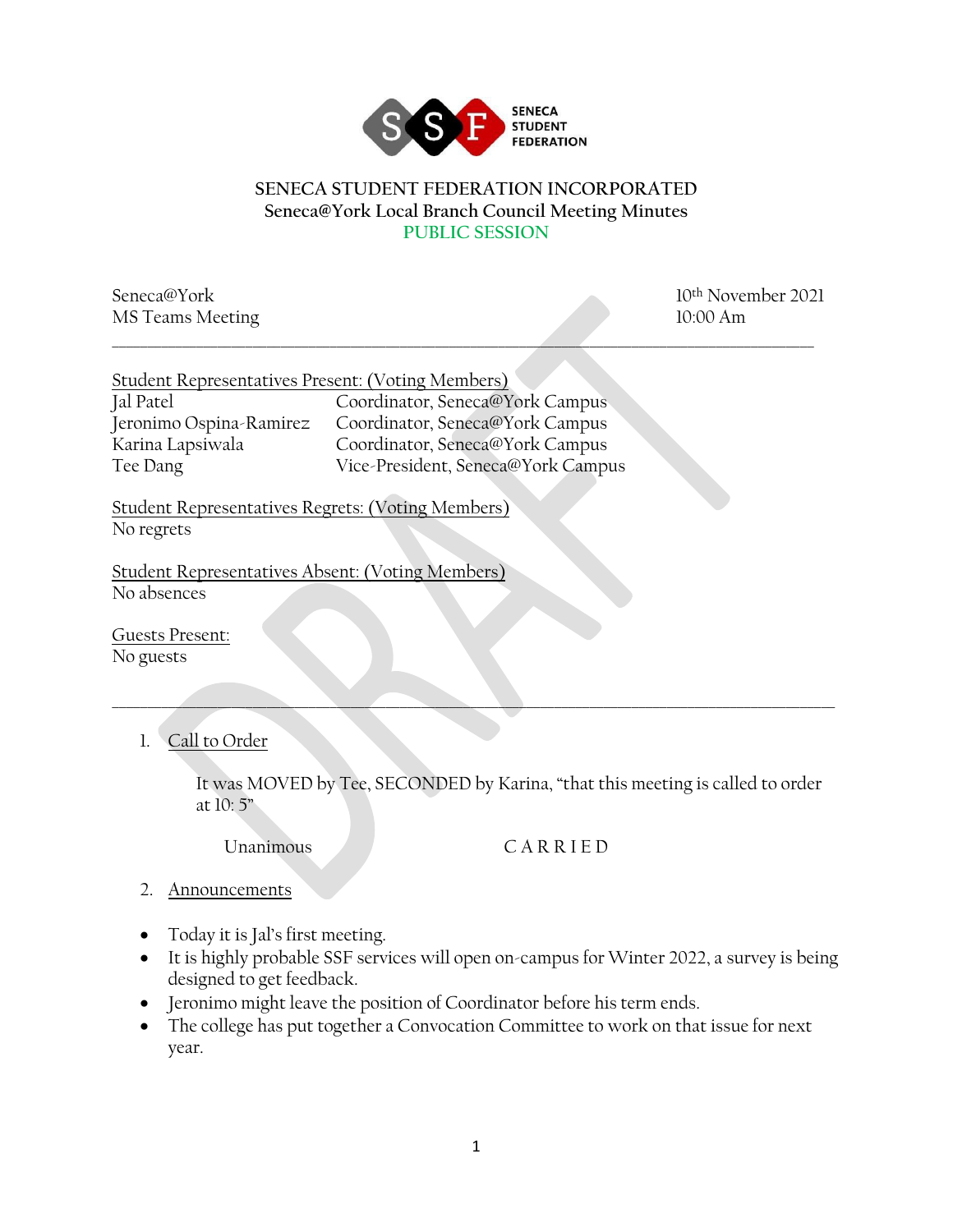

## **SENECA STUDENT FEDERATION INCORPORATED Seneca@York Local Branch Council Meeting Minutes PUBLIC SESSION**

\_\_\_\_\_\_\_\_\_\_\_\_\_\_\_\_\_\_\_\_\_\_\_\_\_\_\_\_\_\_\_\_\_\_\_\_\_\_\_\_\_\_\_\_\_\_\_\_\_\_\_\_\_\_\_\_\_\_\_\_\_\_\_\_\_\_\_\_\_\_\_\_\_\_\_\_\_\_\_\_\_\_\_\_\_\_\_\_\_\_\_\_\_\_\_\_\_\_\_\_

Seneca@York 10<sup>th</sup> November 2021 MS Teams Meeting 10:00 Am

| Student Representatives Present: (Voting Members) |                                    |
|---------------------------------------------------|------------------------------------|
| Jal Patel                                         | Coordinator, Seneca@York Campus    |
| Jeronimo Ospina-Ramirez                           | Coordinator, Seneca@York Campus    |
| Karina Lapsiwala                                  | Coordinator, Seneca@York Campus    |
| Tee Dang                                          | Vice-President, Seneca@York Campus |

Student Representatives Regrets: (Voting Members) No regrets

Student Representatives Absent: (Voting Members) No absences

Guests Present: No guests

1. Call to Order

It was MOVED by Tee, SECONDED by Karina, "that this meeting is called to order at 10: 5"

\_\_\_\_\_\_\_\_\_\_\_\_\_\_\_\_\_\_\_\_\_\_\_\_\_\_\_\_\_\_\_\_\_\_\_\_\_\_\_\_\_\_\_\_\_\_\_\_\_\_\_\_\_\_\_\_\_\_\_\_\_\_\_\_\_\_\_\_\_\_\_\_\_\_\_\_\_\_\_\_\_\_\_\_\_\_\_\_\_\_\_\_\_\_\_\_\_\_\_\_\_\_\_

## Unanimous C A R R I E D

- 2. Announcements
- Today it is Jal's first meeting.
- It is highly probable SSF services will open on-campus for Winter 2022, a survey is being designed to get feedback.
- Jeronimo might leave the position of Coordinator before his term ends.
- The college has put together a Convocation Committee to work on that issue for next year.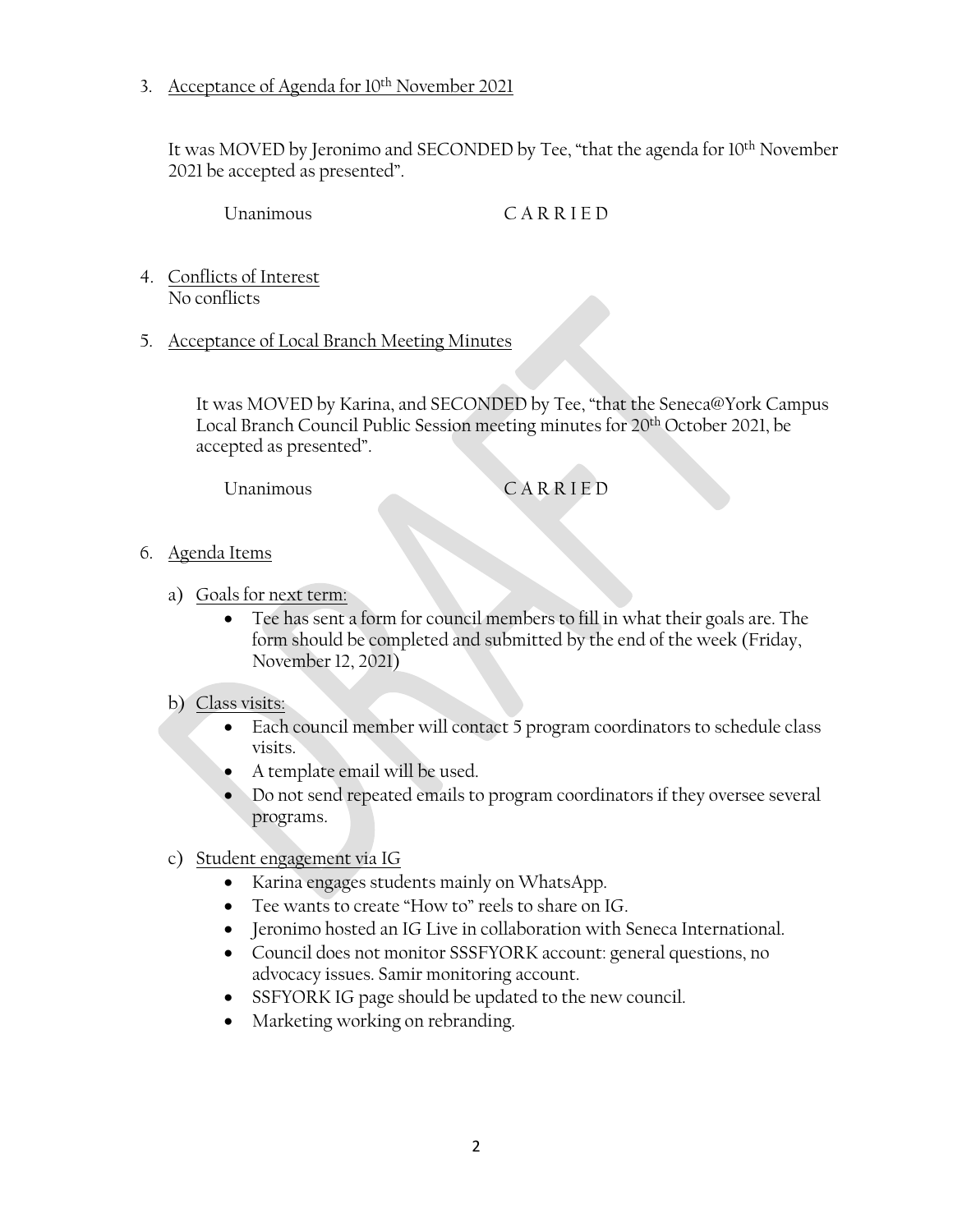3. Acceptance of Agenda for 10th November 2021

It was MOVED by Jeronimo and SECONDED by Tee, "that the agenda for 10<sup>th</sup> November 2021 be accepted as presented".

Unanimous C A R R I E D

- 4. Conflicts of Interest No conflicts
- 5. Acceptance of Local Branch Meeting Minutes

It was MOVED by Karina, and SECONDED by Tee, "that the Seneca@York Campus Local Branch Council Public Session meeting minutes for 20th October 2021, be accepted as presented".

Unanimous C A R R I E D

- 6. Agenda Items
	- a) Goals for next term:
		- Tee has sent a form for council members to fill in what their goals are. The form should be completed and submitted by the end of the week (Friday, November 12, 2021)

## b) Class visits:

- Each council member will contact 5 program coordinators to schedule class visits.
- A template email will be used.
- Do not send repeated emails to program coordinators if they oversee several programs.
- c) Student engagement via IG
	- Karina engages students mainly on WhatsApp.
	- Tee wants to create "How to" reels to share on IG.
	- Jeronimo hosted an IG Live in collaboration with Seneca International.
	- Council does not monitor SSSFYORK account: general questions, no advocacy issues. Samir monitoring account.
	- SSFYORK IG page should be updated to the new council.
	- Marketing working on rebranding.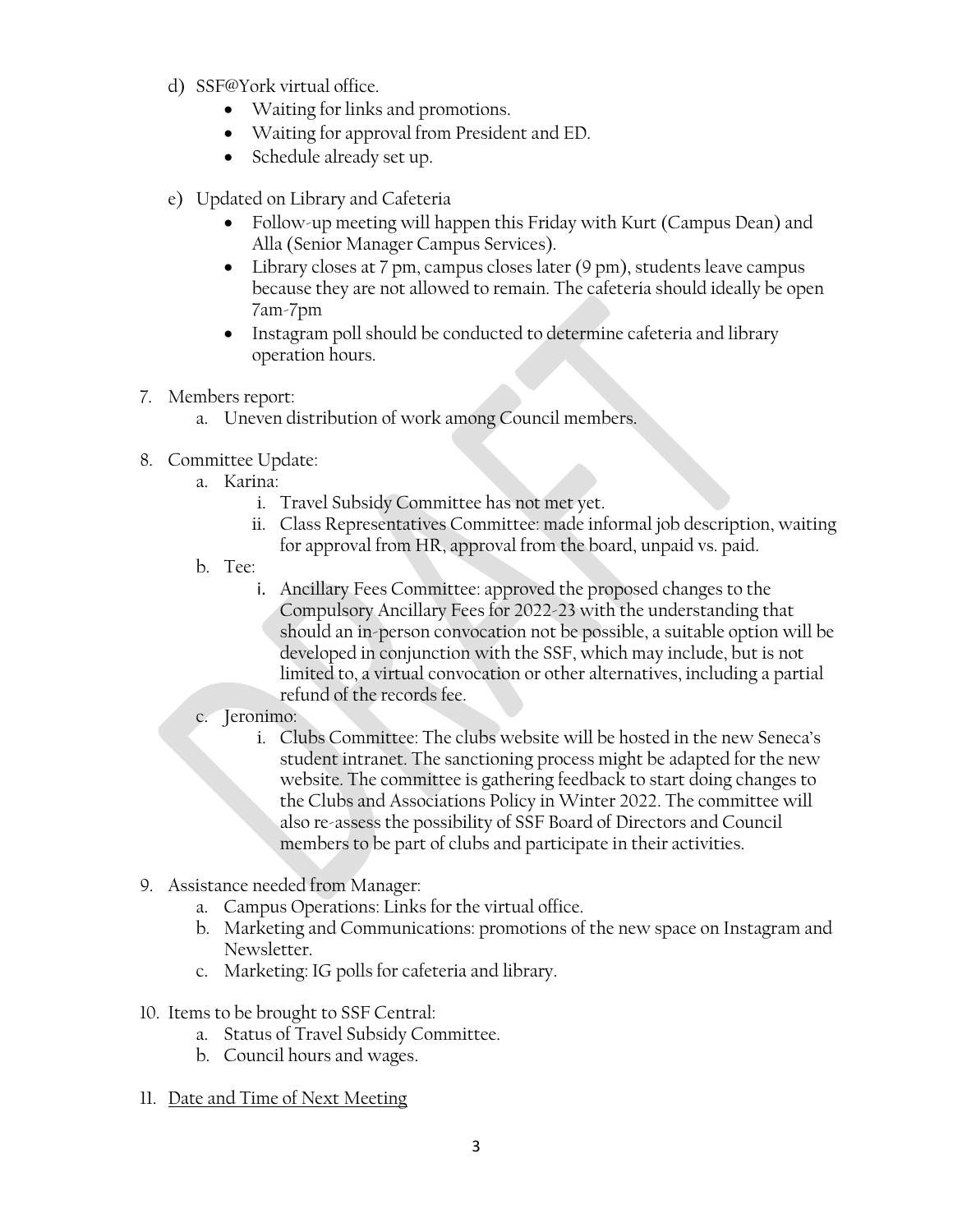- d) SSF@York virtual office.
	- Waiting for links and promotions.
	- Waiting for approval from President and ED.
	- Schedule already set up.
- e) Updated on Library and Cafeteria
	- Follow-up meeting will happen this Friday with Kurt (Campus Dean) and Alla (Senior Manager Campus Services).
	- Library closes at 7 pm, campus closes later (9 pm), students leave campus because they are not allowed to remain. The cafeteria should ideally be open 7am-7pm
	- Instagram poll should be conducted to determine cafeteria and library operation hours.
- 7. Members report:
	- a. Uneven distribution of work among Council members.
- 8. Committee Update:
	- a. Karina:
		- i. Travel Subsidy Committee has not met yet.
		- ii. Class Representatives Committee: made informal job description, waiting for approval from HR, approval from the board, unpaid vs. paid.
	- b. Tee:
		- i. Ancillary Fees Committee: approved the proposed changes to the Compulsory Ancillary Fees for 2022-23 with the understanding that should an in-person convocation not be possible, a suitable option will be developed in conjunction with the SSF, which may include, but is not limited to, a virtual convocation or other alternatives, including a partial refund of the records fee.
	- c. Jeronimo:
		- i. Clubs Committee: The clubs website will be hosted in the new Seneca's student intranet. The sanctioning process might be adapted for the new website. The committee is gathering feedback to start doing changes to the Clubs and Associations Policy in Winter 2022. The committee will also re-assess the possibility of SSF Board of Directors and Council members to be part of clubs and participate in their activities.
- 9. Assistance needed from Manager:
	- a. Campus Operations: Links for the virtual office.
	- b. Marketing and Communications: promotions of the new space on Instagram and Newsletter.
	- c. Marketing: IG polls for cafeteria and library.
- 10. Items to be brought to SSF Central:
	- a. Status of Travel Subsidy Committee.
	- b. Council hours and wages.
- 11. Date and Time of Next Meeting